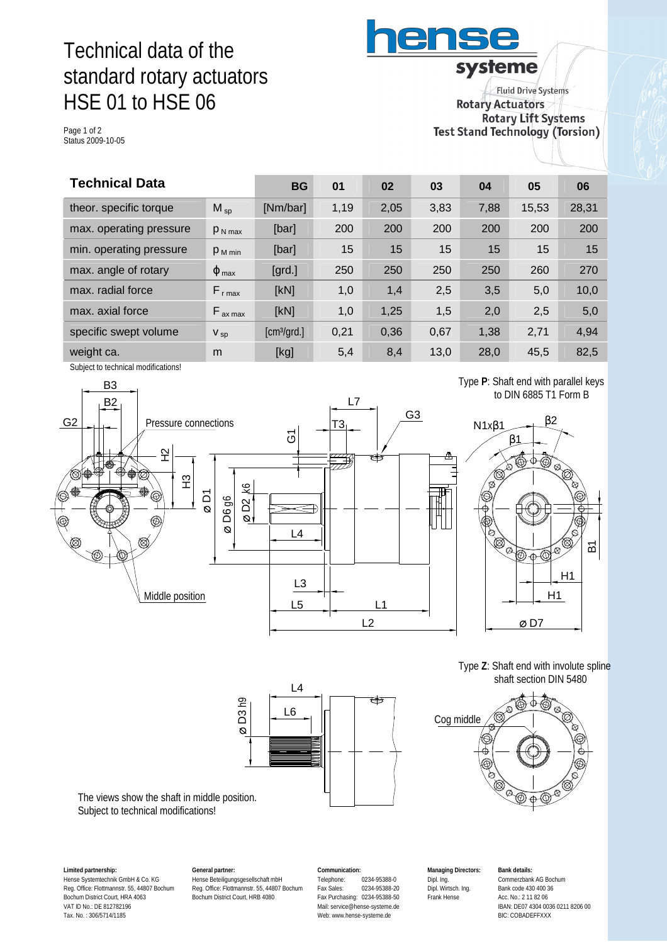# Technical data of the standard rotary actuators HSE 01 to HSE 06

Page 1 of 2 Status 2009-10-05

**Fluid Drive Systems Rotary Actuators Rotary Lift Systems** Test Stand Technology (Torsion)

systeme

ens

| <b>Technical Data</b>   |                          | <b>BG</b>                  | 01   | 02   | 03   | 04   | 05    | 06    |
|-------------------------|--------------------------|----------------------------|------|------|------|------|-------|-------|
| theor. specific torque  | $M_{sp}$                 | [Nm/bar]                   | 1,19 | 2,05 | 3,83 | 7,88 | 15,53 | 28,31 |
| max. operating pressure | $P_{N \text{ max}}$      | [bar]                      | 200  | 200  | 200  | 200  | 200   | 200   |
| min. operating pressure | $P_{M \text{ min}}$      | [bar]                      | 15   | 15   | 15   | 15   | 15    | 15    |
| max. angle of rotary    | $\varphi$ <sub>max</sub> | $\left[\text{grd.}\right]$ | 250  | 250  | 250  | 250  | 260   | 270   |
| max. radial force       | $F_{r \text{ max}}$      | [kN]                       | 1,0  | 1,4  | 2,5  | 3,5  | 5,0   | 10,0  |
| max. axial force        | $F_{ax \, max}$          | [kN]                       | 1,0  | 1,25 | 1,5  | 2,0  | 2,5   | 5,0   |
| specific swept volume   | $V_{sp}$                 | [cm <sup>3</sup> /grd.]    | 0,21 | 0,36 | 0,67 | 1,38 | 2,71  | 4,94  |
| weight ca.              | m                        | [kg]                       | 5,4  | 8,4  | 13,0 | 28,0 | 45,5  | 82,5  |

Subject to technical modifications!



 Type **P**: Shaft end with parallel keys to DIN 6885 T1 Form B



 Type **Z**: Shaft end with involute spline shaft section DIN 5480





The views show the shaft in middle position. Subject to technical modifications!

**Limited partnership:** Hense Systemtechnik GmbH & Co. KG Reg. Office: Flottmannstr. 55, 44807 Bochum Bochum District Court, HRA 4063 VAT ID No.: DE 812782196 Tax. No. : 306/5714/1185

**General partner:** Hense Beteiligungsgesellschaft mbH Reg. Office: Flottmannstr. 55, 44807 Bochum Bochum District Court, HRB 4080

**Communication:** Telephone: 0234-95388-0<br>Fax Sales: 0234-95388-2 Fax Sales: 0234-95388-20 Fax Purchasing: 0234-95388-50 Mail: [service@hense-systeme.de](mailto:service@hense-systeme.de) Web: [www.hense-systeme.de](http://www.hense-systeme.de)

**Managing Directors:** Dipl. Ing. Dipl. Wirtsch. Ing. Frank Hense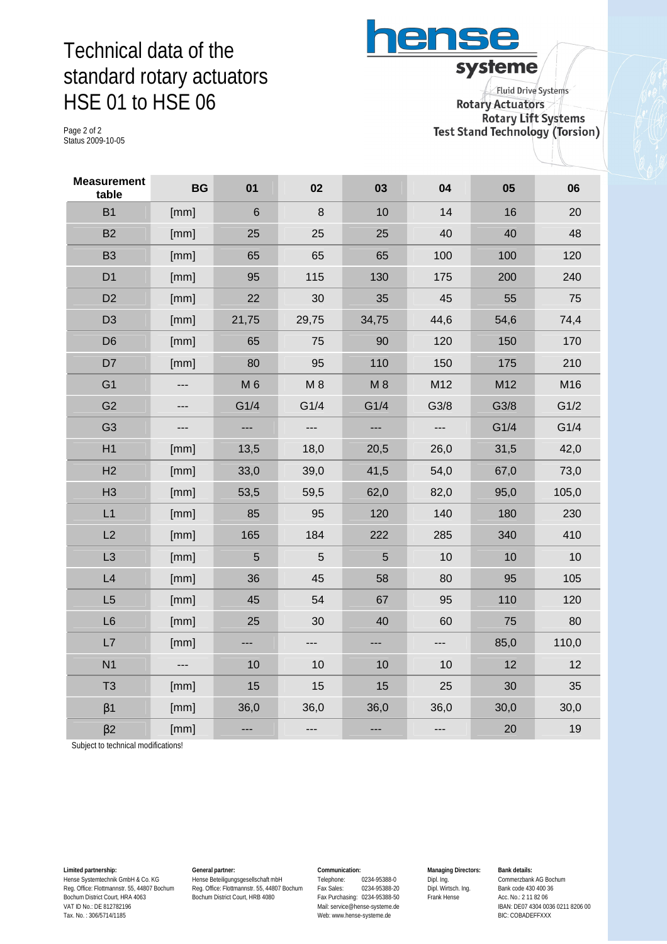## Technical data of the standard rotary actuators HSE 01 to HSE 06

ense systeme

Page 2 of 2 Status 2009-10-05

**Fluid Drive Systems Rotary Actuators Rotary Lift Systems Test Stand Technology (Torsion)** 

| <b>Measurement</b><br>table | <b>BG</b> | 01             | 02                       | 03    | 04   | 05   | 06    |
|-----------------------------|-----------|----------------|--------------------------|-------|------|------|-------|
| <b>B1</b>                   | [mm]      | $\,6$          | 8                        | 10    | 14   | 16   | 20    |
| <b>B2</b>                   | [mm]      | 25             | 25                       | 25    | 40   | 40   | 48    |
| <b>B3</b>                   | [mm]      | 65             | 65                       | 65    | 100  | 100  | 120   |
| D <sub>1</sub>              | [mm]      | 95             | 115                      | 130   | 175  | 200  | 240   |
| D <sub>2</sub>              | [mm]      | 22             | 30                       | 35    | 45   | 55   | 75    |
| D <sub>3</sub>              | [mm]      | 21,75          | 29,75                    | 34,75 | 44,6 | 54,6 | 74,4  |
| D <sub>6</sub>              | [mm]      | 65             | 75                       | 90    | 120  | 150  | 170   |
| D7                          | [mm]      | 80             | 95                       | 110   | 150  | 175  | 210   |
| G <sub>1</sub>              | ---       | M 6            | M8                       | M 8   | M12  | M12  | M16   |
| G <sub>2</sub>              | ---       | G1/4           | G1/4                     | G1/4  | G3/8 | G3/8 | G1/2  |
| G <sub>3</sub>              | ---       | ---            | $\overline{\phantom{a}}$ | ---   | ---  | G1/4 | G1/4  |
| H1                          | [mm]      | 13,5           | 18,0                     | 20,5  | 26,0 | 31,5 | 42,0  |
| H2                          | [mm]      | 33,0           | 39,0                     | 41,5  | 54,0 | 67,0 | 73,0  |
| H <sub>3</sub>              | [mm]      | 53,5           | 59,5                     | 62,0  | 82,0 | 95,0 | 105,0 |
| L1                          | [mm]      | 85             | 95                       | 120   | 140  | 180  | 230   |
| L2                          | [mm]      | 165            | 184                      | 222   | 285  | 340  | 410   |
| L <sub>3</sub>              | [mm]      | $\overline{5}$ | 5                        | 5     | 10   | 10   | 10    |
| L4                          | [mm]      | 36             | 45                       | 58    | 80   | 95   | 105   |
| L5                          | [mm]      | 45             | 54                       | 67    | 95   | 110  | 120   |
| L6                          | [mm]      | 25             | 30                       | 40    | 60   | 75   | 80    |
| L7                          | [mm]      | ---            | ---                      | ---   | ---  | 85,0 | 110,0 |
| N <sub>1</sub>              | ---       | 10             | 10                       | 10    | 10   | 12   | 12    |
| T <sub>3</sub>              | [mm]      | 15             | 15                       | 15    | 25   | 30   | 35    |
| $\beta$ 1                   | [mm]      | 36,0           | 36,0                     | 36,0  | 36,0 | 30,0 | 30,0  |
| $\beta$ 2                   | [mm]      | ---            | ---                      | ---   | ---  | 20   | 19    |

Subject to technical modifications!

**Limited partnership:** Hense Systemtechnik GmbH & Co. KG Reg. Office: Flottmannstr. 55, 44807 Bochum Bochum District Court, HRA 4063 VAT ID No.: DE 812782196 Tax. No. : 306/5714/1185

**General partner:** Hense Beteiligungsgesellschaft mbH Reg. Office: Flottmannstr. 55, 44807 Bochum Bochum District Court, HRB 4080

#### **Communication:**

Telephone: 0234-95388-0<br>Fax Sales: 0234-95388-20 Fax Sales: 0234-95388-20 Fax Purchasing: 0234-95388-50 Mail: [service@hense-systeme.de](mailto:service@hense-systeme.de) Web: [www.hense-systeme.de](http://www.hense-systeme.de)

**Managing Directors:** Dipl. Ing. Dipl. Wirtsch. Ing. Frank Hense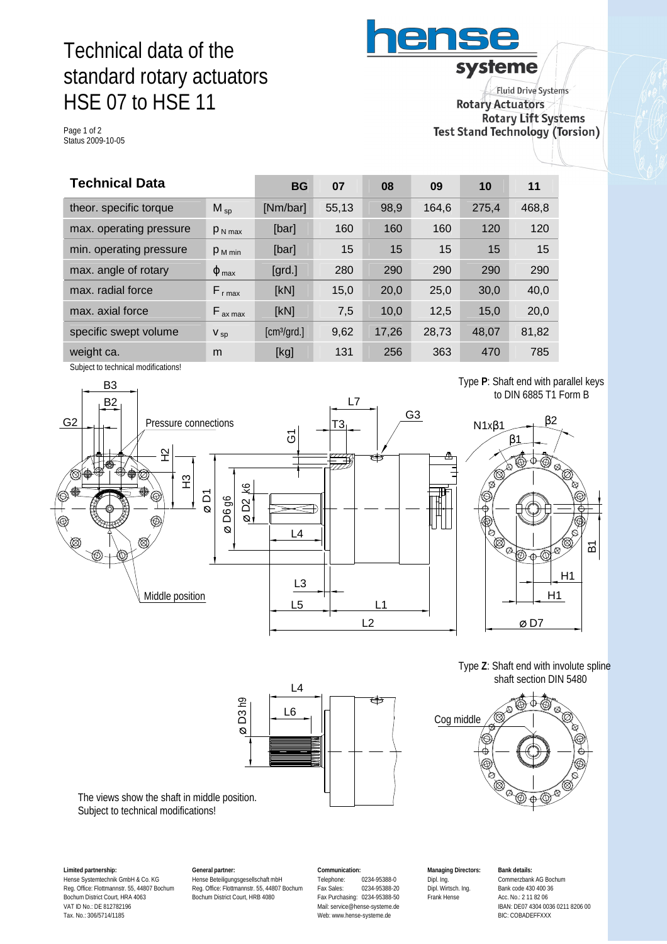# Technical data of the standard rotary actuators HSE 07 to HSE 11

Page 1 of 2 Status 2009-10-05

systeme **Fluid Drive Systems Rotary Actuators Rotary Lift Systems** Test Stand Technology (Torsion)

ens

| <b>Technical Data</b>   |                          | <b>BG</b>                  | 07    | 08    | 09    | 10    | 11    |
|-------------------------|--------------------------|----------------------------|-------|-------|-------|-------|-------|
| theor. specific torque  | $M_{SD}$                 | [Nm/bar]                   | 55,13 | 98,9  | 164.6 | 275.4 | 468,8 |
| max. operating pressure | $P_{N \text{ max}}$      | [bar]                      | 160   | 160   | 160   | 120   | 120   |
| min. operating pressure | $P_{M \text{min}}$       | [bar]                      | 15    | 15    | 15    | 15    | 15    |
| max. angle of rotary    | $\varphi$ <sub>max</sub> | $\left[\text{grd.}\right]$ | 280   | 290   | 290   | 290   | 290   |
| max. radial force       | $F_{r \text{ max}}$      | [kN]                       | 15,0  | 20,0  | 25,0  | 30,0  | 40,0  |
| max. axial force        | $F_{ax \, max}$          | [kN]                       | 7,5   | 10,0  | 12,5  | 15,0  | 20,0  |
| specific swept volume   | $V_{sp}$                 | [cm <sup>3</sup> /grd.]    | 9,62  | 17,26 | 28,73 | 48,07 | 81,82 |
| weight ca.              | m                        | [kg]                       | 131   | 256   | 363   | 470   | 785   |

Subject to technical modifications!



to DIN 6885 T1 Form B



B1

H1



Cog middle  $\hat{\Phi}$ 

The views show the shaft in middle position. Subject to technical modifications!

**Limited partnership:** Hense Systemtechnik GmbH & Co. KG Reg. Office: Flottmannstr. 55, 44807 Bochum Bochum District Court, HRA 4063 VAT ID No.: DE 812782196 Tax. No.: 306/5714/1185

**General partner:** Hense Beteiligungsgesellschaft mbH Reg. Office: Flottmannstr. 55, 44807 Bochum Bochum District Court, HRB 4080

 $\overline{\circ}$ D3 h9

> **Communication:** Telephone: 0234-95388-0<br>Fax Sales: 0234-95388-2 Fax Sales: 0234-95388-20 Fax Purchasing: 0234-95388-50 Mail: [service@hense-systeme.de](mailto:service@hense-systeme.de) Web: [www.hense-systeme.de](http://www.hense-systeme.de)

**Managing Directors:** Dipl. Ing. Dipl. Wirtsch. Ing. Frank Hense